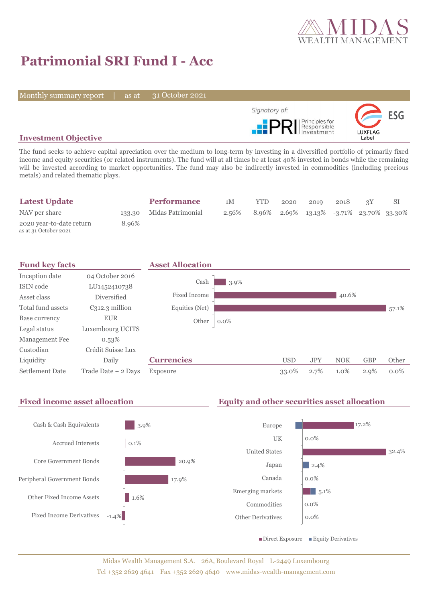

# **Patrimonial SRI Fund I - Acc**

Monthly summary report | as at

31 October 2021



## **Investment Objective**

The fund seeks to achieve capital apreciation over the medium to long-term by investing in a diversified portfolio of primarily fixed income and equity securities (or related instruments). The fund will at all times be at least 40% invested in bonds while the remaining will be invested according to market opportunities. The fund may also be indirectly invested in commodities (including precious metals) and related thematic plays.

| <b>Latest Update</b>                              |       | <b>Performance</b>       | 1M    | <b>YTD</b> | 2020 | 2019                                    | 2018 |  |
|---------------------------------------------------|-------|--------------------------|-------|------------|------|-----------------------------------------|------|--|
| NAV per share                                     |       | 133.30 Midas Patrimonial | 2.56% |            |      | 8.96% 2.69% 13.13% -3.71% 23.70% 33.30% |      |  |
| 2020 year-to-date return<br>as at 31 October 2021 | 8.96% |                          |       |            |      |                                         |      |  |



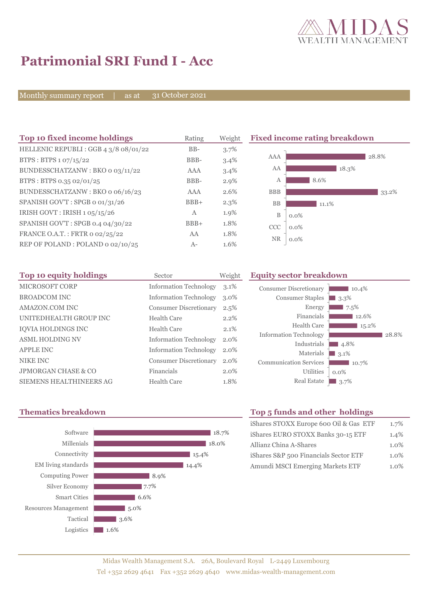

# **Patrimonial SRI Fund I - Acc**

Monthly summary report | as at

31 October 2021

| Top 10 fixed income holdings          | Rating       | Weight  | <b>Fixed income rating breakdown</b> |         |  |
|---------------------------------------|--------------|---------|--------------------------------------|---------|--|
| HELLENIC REPUBLI : GGB 4 3/8 08/01/22 | $BB-$        | 3.7%    |                                      |         |  |
| BTPS: BTPS $1.07/15/22$               | BBB-         | 3.4%    | AAA                                  | 28.8%   |  |
| BUNDESSCHATZANW: BKO o 03/11/22       | AAA          | 3.4%    | AA                                   | 18.3%   |  |
| BTPS: BTPS 0.35 02/01/25              | BBB-         | $2.9\%$ | A                                    | 8.6%    |  |
| BUNDESSCHATZANW: BKO o 06/16/23       | AAA          | 2.6%    | <b>BBB</b>                           | 33.2%   |  |
| SPANISH GOV'T: SPGB o 01/31/26        | $BBB+$       | $2.3\%$ | <b>BB</b>                            | 11.1%   |  |
| IRISH GOVT: IRISH 1 05/15/26          | $\mathbf{A}$ | 1.9%    | B                                    | $0.0\%$ |  |
| SPANISH GOV'T: SPGB 0.4 04/30/22      | $BBB+$       | 1.8%    | <b>CCC</b>                           | $0.0\%$ |  |
| FRANCE O.A.T.: FRTR 0 02/25/22        | AA           | 1.8%    | <b>NR</b>                            |         |  |
| REP OF POLAND: POLAND 0 02/10/25      | $A-$         | 1.6%    |                                      | $0.0\%$ |  |

| Top 10 equity holdings    | Sector                        | Weight  |
|---------------------------|-------------------------------|---------|
| MICROSOFT CORP            | <b>Information Technology</b> | $3.1\%$ |
| <b>BROADCOM INC</b>       | <b>Information Technology</b> | $3.0\%$ |
| AMAZON.COM INC            | <b>Consumer Discretionary</b> | 2.5%    |
| UNITEDHEALTH GROUP INC    | Health Care                   | $2.2\%$ |
| <b>IOVIA HOLDINGS INC</b> | Health Care                   | 2.1%    |
| <b>ASML HOLDING NV</b>    | <b>Information Technology</b> | 2.0%    |
| <b>APPLE INC</b>          | <b>Information Technology</b> | $2.0\%$ |
| NIKE INC                  | <b>Consumer Discretionary</b> | 2.0%    |
| JPMORGAN CHASE & CO       | Financials                    | 2.0%    |
| SIEMENS HEALTHINEERS AG   | Health Care                   | 1.8%    |



## **Equity sector breakdown**



## **Thematics breakdown Top 5 funds and other holdings**

| iShares STOXX Europe 600 Oil & Gas ETF | 1.7%    |
|----------------------------------------|---------|
| iShares EURO STOXX Banks 30-15 ETF     | 1.4%    |
| Allianz China A-Shares                 | 1.0%    |
| iShares S&P 500 Financials Sector ETF  | $1.0\%$ |
| Amundi MSCI Emerging Markets ETF       | $1.0\%$ |